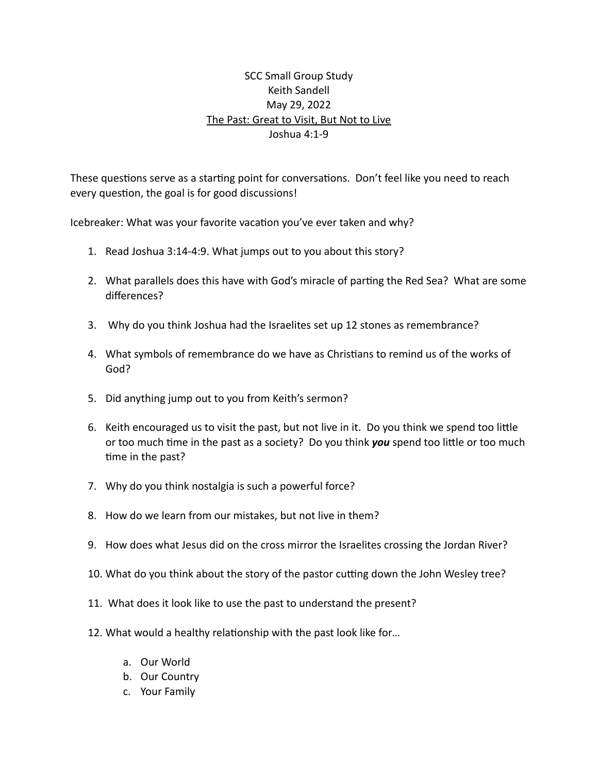## SCC Small Group Study Keith Sandell May 29, 2022 The Past: Great to Visit, But Not to Live Joshua 4:1-9

These questions serve as a starting point for conversations. Don't feel like you need to reach every question, the goal is for good discussions!

Icebreaker: What was your favorite vacation you've ever taken and why?

- 1. Read Joshua 3:14-4:9. What jumps out to you about this story?
- 2. What parallels does this have with God's miracle of parting the Red Sea? What are some differences?
- 3. Why do you think Joshua had the Israelites set up 12 stones as remembrance?
- 4. What symbols of remembrance do we have as Christians to remind us of the works of God?
- 5. Did anything jump out to you from Keith's sermon?
- 6. Keith encouraged us to visit the past, but not live in it. Do you think we spend too little or too much time in the past as a society? Do you think *you* spend too little or too much time in the past?
- 7. Why do you think nostalgia is such a powerful force?
- 8. How do we learn from our mistakes, but not live in them?
- 9. How does what Jesus did on the cross mirror the Israelites crossing the Jordan River?
- 10. What do you think about the story of the pastor cutting down the John Wesley tree?
- 11. What does it look like to use the past to understand the present?
- 12. What would a healthy relationship with the past look like for…
	- a. Our World
	- b. Our Country
	- c. Your Family